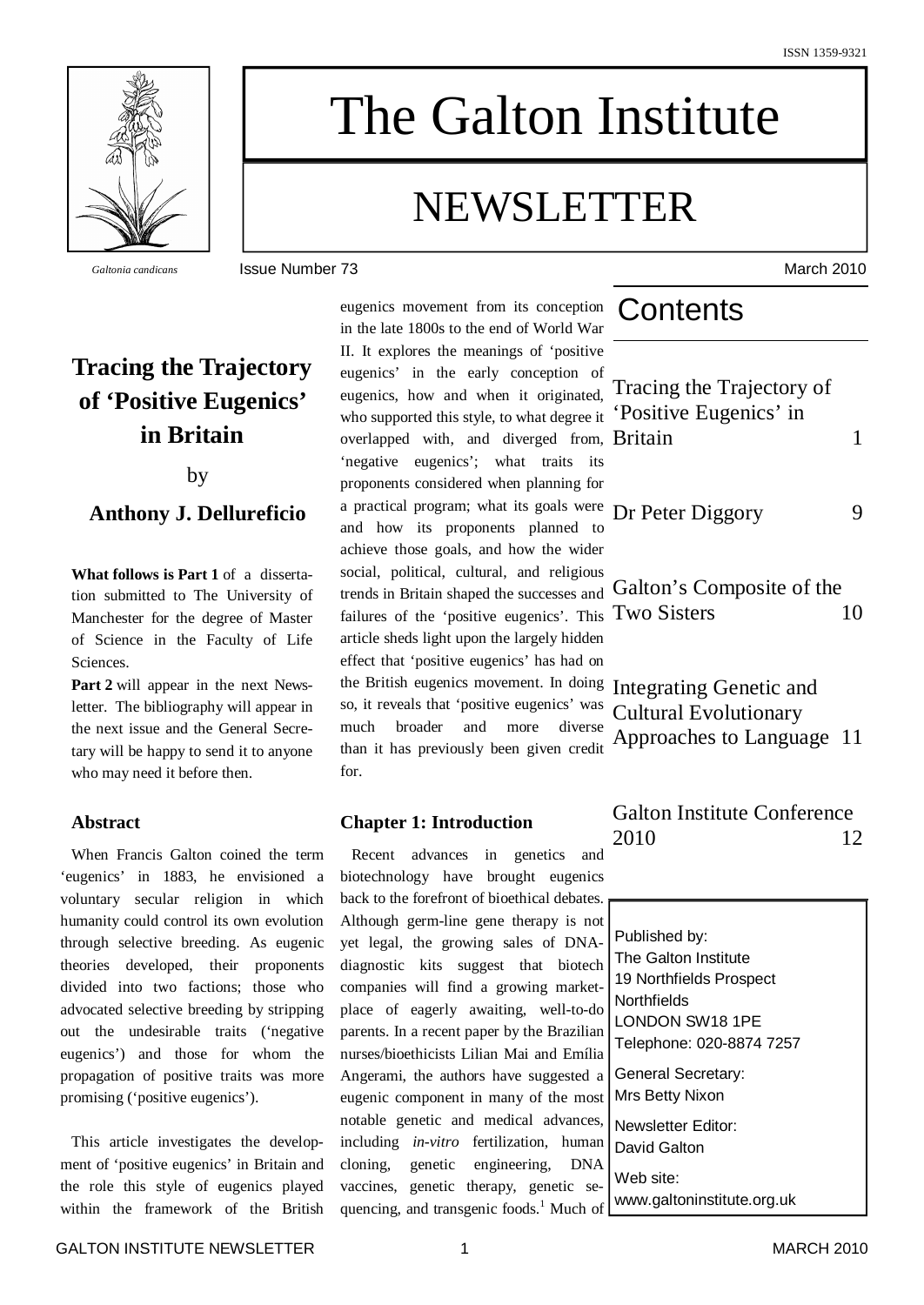

# The Galton Institute

## NEWSLETTER

*Galtonia candicans* Issue Number 73 March 2010

## **Tracing the Trajectory of 'Positive Eugenics' in Britain**

by

#### **Anthony J. Dellureficio**

**What follows is Part 1** of a dissertation submitted to The University of Manchester for the degree of Master of Science in the Faculty of Life Sciences.

**Part 2** will appear in the next Newsletter. The bibliography will appear in the next issue and the General Secretary will be happy to send it to anyone who may need it before then.

#### **Abstract**

When Francis Galton coined the term 'eugenics' in 1883, he envisioned a voluntary secular religion in which humanity could control its own evolution through selective breeding. As eugenic theories developed, their proponents divided into two factions; those who advocated selective breeding by stripping out the undesirable traits ('negative eugenics') and those for whom the propagation of positive traits was more promising ('positive eugenics').

This article investigates the development of 'positive eugenics' in Britain and the role this style of eugenics played within the framework of the British eugenics movement from its conception in the late 1800s to the end of World War II. It explores the meanings of 'positive eugenics' in the early conception of eugenics, how and when it originated, who supported this style, to what degree it overlapped with, and diverged from, 'negative eugenics'; what traits its proponents considered when planning for a practical program; what its goals were and how its proponents planned to achieve those goals, and how the wider social, political, cultural, and religious trends in Britain shaped the successes and failures of the 'positive eugenics'. This article sheds light upon the largely hidden effect that 'positive eugenics' has had on the British eugenics movement. In doing so, it reveals that 'positive eugenics' was much broader and more diverse than it has previously been given credit for.

#### **Chapter 1: Introduction**

Recent advances in genetics and biotechnology have brought eugenics back to the forefront of bioethical debates. Although germ-line gene therapy is not yet legal, the growing sales of DNAdiagnostic kits suggest that biotech companies will find a growing marketplace of eagerly awaiting, well-to-do parents. In a recent paper by the Brazilian nurses/bioethicists Lilian Mai and Emília Angerami, the authors have suggested a eugenic component in many of the most notable genetic and medical advances, including *in-vitro* fertilization, human cloning, genetic engineering, DNA vaccines, genetic therapy, genetic sequencing, and transgenic foods. <sup>1</sup> Much of

## Contents

| Tracing the Trajectory of<br>'Positive Eugenics' in<br><b>Britain</b>             | 1  |
|-----------------------------------------------------------------------------------|----|
| Dr Peter Diggory                                                                  |    |
| Galton's Composite of the<br><b>Two Sisters</b>                                   | 10 |
| Integrating Genetic and<br><b>Cultural Evolutionary</b><br>Approaches to Language | 11 |

Galton Institute Conference 2010 12

Published by: The Galton Institute 19 Northfields Prospect **Northfields** LONDON SW18 1PE Telephone: 020-8874 7257 General Secretary: Mrs Betty Nixon Newsletter Editor: David Galton Web site: www.galtoninstitute.org.uk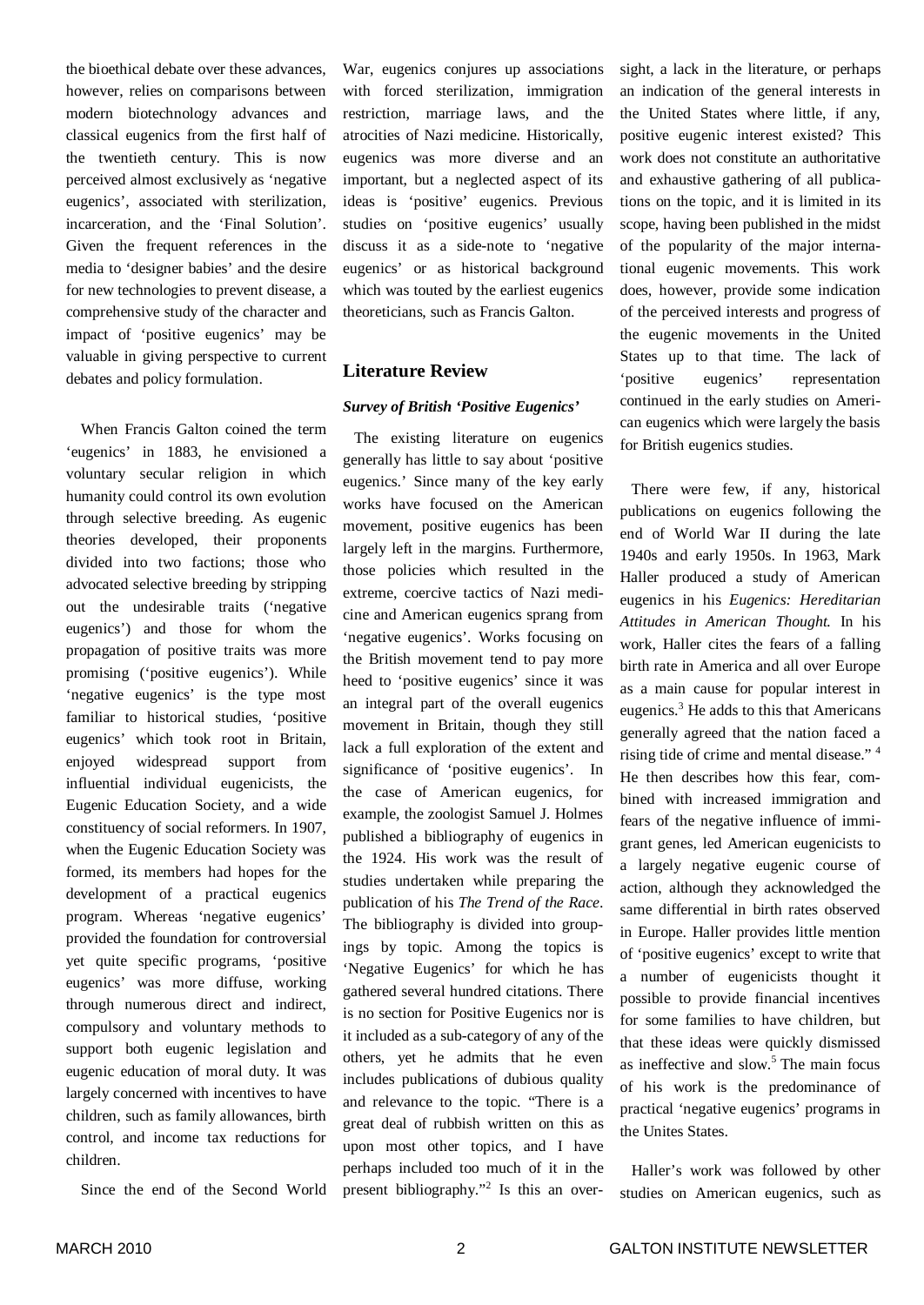the bioethical debate over these advances, however, relies on comparisons between modern biotechnology advances and classical eugenics from the first half of the twentieth century. This is now perceived almost exclusively as 'negative eugenics', associated with sterilization, incarceration, and the 'Final Solution'. Given the frequent references in the media to 'designer babies' and the desire for new technologies to prevent disease, a comprehensive study of the character and impact of 'positive eugenics' may be valuable in giving perspective to current debates and policy formulation.

When Francis Galton coined the term 'eugenics' in 1883, he envisioned a voluntary secular religion in which humanity could control its own evolution through selective breeding. As eugenic theories developed, their proponents divided into two factions; those who advocated selective breeding by stripping out the undesirable traits ('negative eugenics') and those for whom the propagation of positive traits was more promising ('positive eugenics'). While 'negative eugenics' is the type most familiar to historical studies, 'positive eugenics' which took root in Britain, enjoyed widespread support from influential individual eugenicists, the Eugenic Education Society, and a wide constituency of social reformers. In 1907, when the Eugenic Education Society was formed, its members had hopes for the development of a practical eugenics program. Whereas 'negative eugenics' provided the foundation for controversial yet quite specific programs, 'positive eugenics' was more diffuse, working through numerous direct and indirect, compulsory and voluntary methods to support both eugenic legislation and eugenic education of moral duty. It was largely concerned with incentives to have children, such as family allowances, birth control, and income tax reductions for children.

Since the end of the Second World

War, eugenics conjures up associations with forced sterilization, immigration restriction, marriage laws, and the atrocities of Nazi medicine. Historically, eugenics was more diverse and an important, but a neglected aspect of its ideas is 'positive' eugenics. Previous studies on 'positive eugenics' usually discuss it as a side-note to 'negative eugenics' or as historical background which was touted by the earliest eugenics theoreticians, such as Francis Galton.

#### **Literature Review**

#### *Survey of British 'Positive Eugenics'*

The existing literature on eugenics generally has little to say about 'positive eugenics.' Since many of the key early works have focused on the American movement, positive eugenics has been largely left in the margins. Furthermore, those policies which resulted in the extreme, coercive tactics of Nazi medicine and American eugenics sprang from 'negative eugenics'. Works focusing on the British movement tend to pay more heed to 'positive eugenics' since it was an integral part of the overall eugenics movement in Britain, though they still lack a full exploration of the extent and significance of 'positive eugenics'. In the case of American eugenics, for example, the zoologist Samuel J. Holmes published a bibliography of eugenics in the 1924. His work was the result of studies undertaken while preparing the publication of his *The Trend of the Race*. The bibliography is divided into groupings by topic. Among the topics is 'Negative Eugenics' for which he has gathered several hundred citations. There is no section for Positive Eugenics nor is it included as a sub-category of any of the others, yet he admits that he even includes publications of dubious quality and relevance to the topic. "There is a great deal of rubbish written on this as upon most other topics, and I have perhaps included too much of it in the present bibliography." 2 Is this an oversight, a lack in the literature, or perhaps an indication of the general interests in the United States where little, if any, positive eugenic interest existed? This work does not constitute an authoritative and exhaustive gathering of all publications on the topic, and it is limited in its scope, having been published in the midst of the popularity of the major international eugenic movements. This work does, however, provide some indication of the perceived interests and progress of the eugenic movements in the United States up to that time. The lack of 'positive eugenics' representation continued in the early studies on American eugenics which were largely the basis for British eugenics studies.

There were few, if any, historical publications on eugenics following the end of World War II during the late 1940s and early 1950s. In 1963, Mark Haller produced a study of American eugenics in his *Eugenics: Hereditarian Attitudes in American Thought.* In his work, Haller cites the fears of a falling birth rate in America and all over Europe as a main cause for popular interest in eugenics.<sup>3</sup> He adds to this that Americans generally agreed that the nation faced a rising tide of crime and mental disease." 4 He then describes how this fear, combined with increased immigration and fears of the negative influence of immigrant genes, led American eugenicists to a largely negative eugenic course of action, although they acknowledged the same differential in birth rates observed in Europe. Haller provides little mention of 'positive eugenics' except to write that a number of eugenicists thought it possible to provide financial incentives for some families to have children, but that these ideas were quickly dismissed as ineffective and slow. <sup>5</sup> The main focus of his work is the predominance of practical 'negative eugenics' programs in the Unites States.

Haller's work was followed by other studies on American eugenics, such as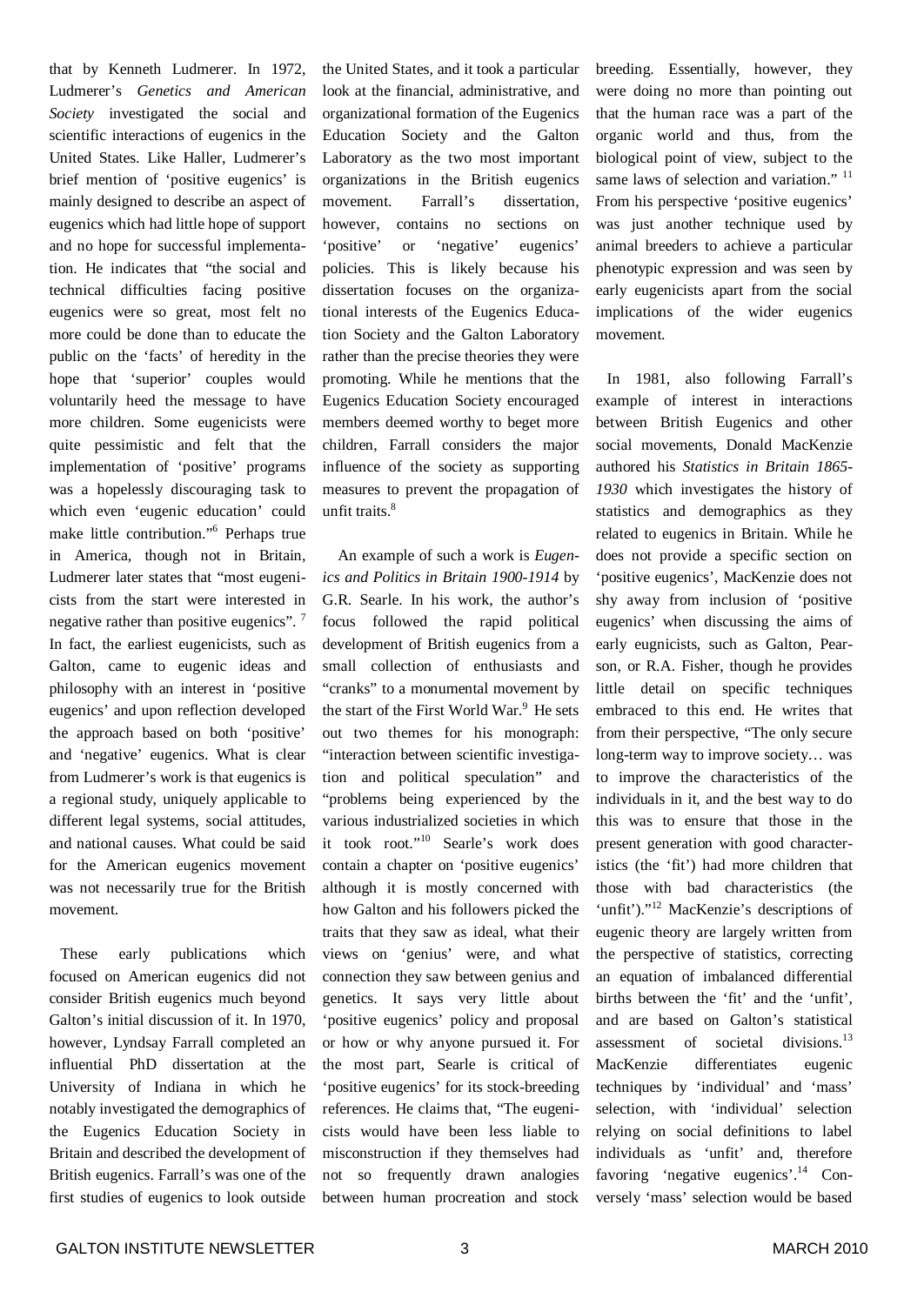that by Kenneth Ludmerer. In 1972, Ludmerer's *Genetics and American Society* investigated the social and scientific interactions of eugenics in the United States. Like Haller, Ludmerer's brief mention of 'positive eugenics' is mainly designed to describe an aspect of eugenics which had little hope of support and no hope for successful implementation. He indicates that "the social and technical difficulties facing positive eugenics were so great, most felt no more could be done than to educate the public on the 'facts' of heredity in the hope that 'superior' couples would voluntarily heed the message to have more children. Some eugenicists were quite pessimistic and felt that the implementation of 'positive' programs was a hopelessly discouraging task to which even 'eugenic education' could make little contribution." 6 Perhaps true in America, though not in Britain, Ludmerer later states that "most eugenicists from the start were interested in negative rather than positive eugenics".<sup>7</sup> In fact, the earliest eugenicists, such as Galton, came to eugenic ideas and philosophy with an interest in 'positive eugenics' and upon reflection developed the approach based on both 'positive' and 'negative' eugenics. What is clear from Ludmerer's work is that eugenics is a regional study, uniquely applicable to different legal systems, social attitudes, and national causes. What could be said for the American eugenics movement was not necessarily true for the British movement.

These early publications which focused on American eugenics did not consider British eugenics much beyond Galton's initial discussion of it. In 1970, however, Lyndsay Farrall completed an influential PhD dissertation at the University of Indiana in which he notably investigated the demographics of the Eugenics Education Society in Britain and described the development of British eugenics. Farrall's was one of the first studies of eugenics to look outside the United States, and it took a particular look at the financial, administrative, and organizational formation of the Eugenics Education Society and the Galton Laboratory as the two most important organizations in the British eugenics movement. Farrall's dissertation, however, contains no sections on 'positive' or 'negative' eugenics' policies. This is likely because his dissertation focuses on the organizational interests of the Eugenics Education Society and the Galton Laboratory rather than the precise theories they were promoting. While he mentions that the Eugenics Education Society encouraged members deemed worthy to beget more children, Farrall considers the major influence of the society as supporting measures to prevent the propagation of unfit traits. 8

An example of such a work is *Eugenics and Politics in Britain 1900-1914* by G.R. Searle. In his work, the author's focus followed the rapid political development of British eugenics from a small collection of enthusiasts and "cranks" to a monumental movement by the start of the First World War. <sup>9</sup> He sets out two themes for his monograph: "interaction between scientific investigation and political speculation" and "problems being experienced by the various industrialized societies in which it took root." 10 Searle's work does contain a chapter on 'positive eugenics' although it is mostly concerned with how Galton and his followers picked the traits that they saw as ideal, what their views on 'genius' were, and what connection they saw between genius and genetics. It says very little about 'positive eugenics' policy and proposal or how or why anyone pursued it. For the most part, Searle is critical of 'positive eugenics' for its stock-breeding references. He claims that, "The eugenicists would have been less liable to misconstruction if they themselves had not so frequently drawn analogies between human procreation and stock breeding. Essentially, however, they were doing no more than pointing out that the human race was a part of the organic world and thus, from the biological point of view, subject to the same laws of selection and variation."<sup>11</sup> From his perspective 'positive eugenics' was just another technique used by animal breeders to achieve a particular phenotypic expression and was seen by early eugenicists apart from the social implications of the wider eugenics movement.

In 1981, also following Farrall's example of interest in interactions between British Eugenics and other social movements, Donald MacKenzie authored his *Statistics in Britain 1865- 1930* which investigates the history of statistics and demographics as they related to eugenics in Britain. While he does not provide a specific section on 'positive eugenics', MacKenzie does not shy away from inclusion of 'positive eugenics' when discussing the aims of early eugnicists, such as Galton, Pearson, or R.A. Fisher, though he provides little detail on specific techniques embraced to this end. He writes that from their perspective, "The only secure long-term way to improve society… was to improve the characteristics of the individuals in it, and the best way to do this was to ensure that those in the present generation with good characteristics (the 'fit') had more children that those with bad characteristics (the 'unfit')."<sup>12</sup> MacKenzie's descriptions of eugenic theory are largely written from the perspective of statistics, correcting an equation of imbalanced differential births between the 'fit' and the 'unfit', and are based on Galton's statistical assessment of societal divisions.<sup>13</sup> MacKenzie differentiates eugenic techniques by 'individual' and 'mass' selection, with 'individual' selection relying on social definitions to label individuals as 'unfit' and, therefore favoring 'negative eugenics'.<sup>14</sup> Conversely 'mass' selection would be based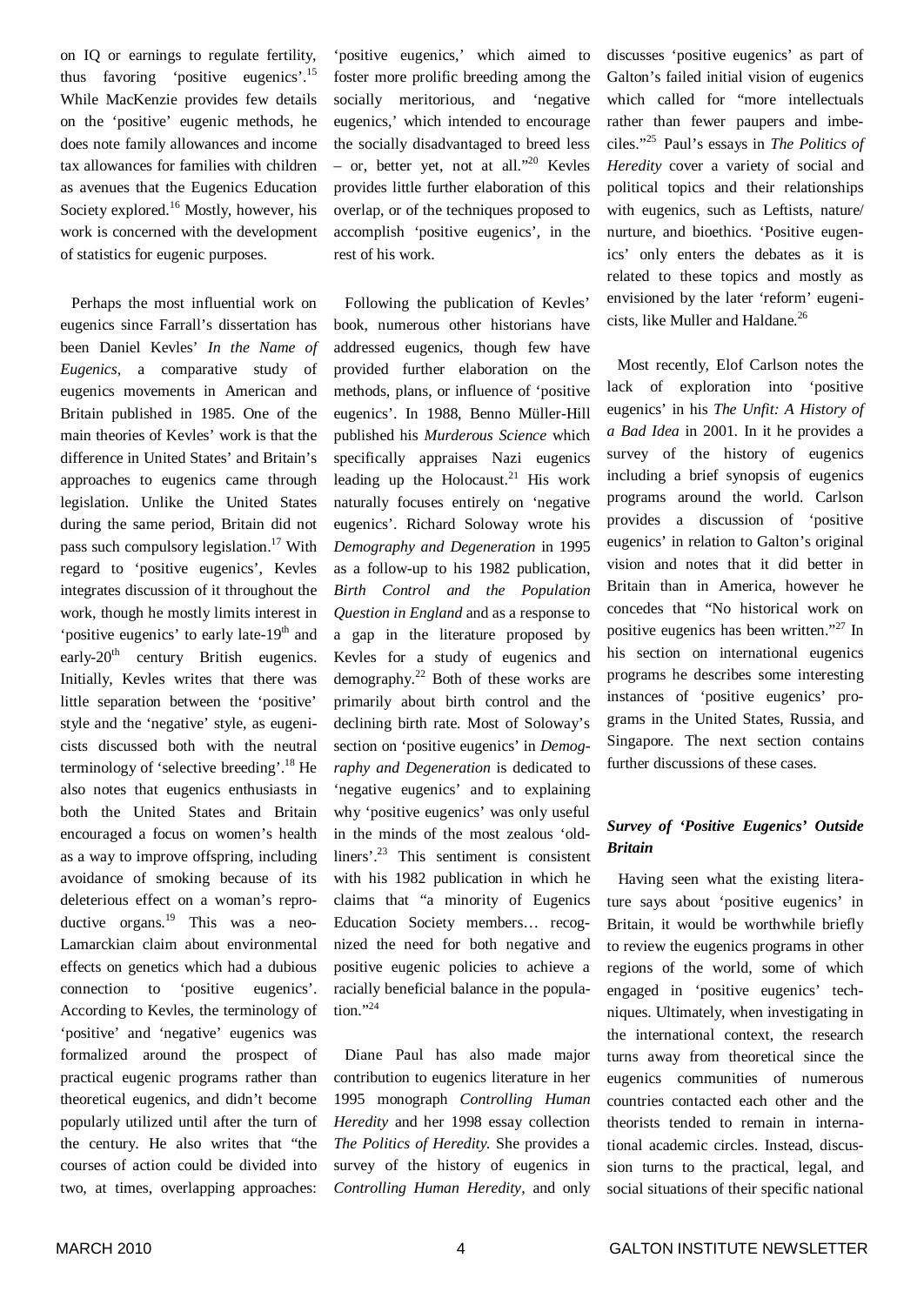on IQ or earnings to regulate fertility, thus favoring 'positive eugenics'.<sup>15</sup> While MacKenzie provides few details on the 'positive' eugenic methods, he does note family allowances and income tax allowances for families with children as avenues that the Eugenics Education Society explored. <sup>16</sup> Mostly, however, his work is concerned with the development of statistics for eugenic purposes.

Perhaps the most influential work on eugenics since Farrall's dissertation has been Daniel Kevles' *In the Name of Eugenics*, a comparative study of eugenics movements in American and Britain published in 1985. One of the main theories of Kevles' work is that the difference in United States' and Britain's approaches to eugenics came through legislation. Unlike the United States during the same period, Britain did not pass such compulsory legislation.<sup>17</sup> With regard to 'positive eugenics', Kevles integrates discussion of it throughout the work, though he mostly limits interest in 'positive eugenics' to early late-19<sup>th</sup> and early-20<sup>th</sup> century British eugenics. Initially, Kevles writes that there was little separation between the 'positive' style and the 'negative' style, as eugenicists discussed both with the neutral terminology of 'selective breeding'. <sup>18</sup> He also notes that eugenics enthusiasts in both the United States and Britain encouraged a focus on women's health as a way to improve offspring, including avoidance of smoking because of its deleterious effect on a woman's reproductive organs.<sup>19</sup> This was a neo-Lamarckian claim about environmental effects on genetics which had a dubious connection to 'positive eugenics'. According to Kevles, the terminology of 'positive' and 'negative' eugenics was formalized around the prospect of practical eugenic programs rather than theoretical eugenics, and didn't become popularly utilized until after the turn of the century. He also writes that "the courses of action could be divided into two, at times, overlapping approaches:

'positive eugenics,' which aimed to foster more prolific breeding among the socially meritorious, and 'negative eugenics,' which intended to encourage the socially disadvantaged to breed less – or, better yet, not at all." <sup>20</sup> Kevles provides little further elaboration of this overlap, or of the techniques proposed to accomplish 'positive eugenics', in the rest of his work.

Following the publication of Kevles' book, numerous other historians have addressed eugenics, though few have provided further elaboration on the methods, plans, or influence of 'positive eugenics'. In 1988, Benno Müller-Hill published his *Murderous Science* which specifically appraises Nazi eugenics leading up the Holocaust. <sup>21</sup> His work naturally focuses entirely on 'negative eugenics'. Richard Soloway wrote his *Demography and Degeneration* in 1995 as a follow-up to his 1982 publication, *Birth Control and the Population Question in England* and as a response to a gap in the literature proposed by Kevles for a study of eugenics and demography. <sup>22</sup> Both of these works are primarily about birth control and the declining birth rate. Most of Soloway's section on 'positive eugenics' in *Demography and Degeneration* is dedicated to 'negative eugenics' and to explaining why 'positive eugenics' was only useful in the minds of the most zealous 'oldliners'. <sup>23</sup> This sentiment is consistent with his 1982 publication in which he claims that "a minority of Eugenics Education Society members… recognized the need for both negative and positive eugenic policies to achieve a racially beneficial balance in the population." 24

Diane Paul has also made major contribution to eugenics literature in her 1995 monograph *Controlling Human Heredity* and her 1998 essay collection *The Politics of Heredity.* She provides a survey of the history of eugenics in *Controlling Human Heredity*, and only discusses 'positive eugenics' as part of Galton's failed initial vision of eugenics which called for "more intellectuals rather than fewer paupers and imbeciles." 25 Paul's essays in *The Politics of Heredity* cover a variety of social and political topics and their relationships with eugenics, such as Leftists, nature/ nurture, and bioethics. 'Positive eugenics' only enters the debates as it is related to these topics and mostly as envisioned by the later 'reform' eugenicists, like Muller and Haldane. 26

Most recently, Elof Carlson notes the lack of exploration into 'positive eugenics' in his *The Unfit: A History of a Bad Idea* in 2001. In it he provides a survey of the history of eugenics including a brief synopsis of eugenics programs around the world. Carlson provides a discussion of 'positive eugenics' in relation to Galton's original vision and notes that it did better in Britain than in America, however he concedes that "No historical work on positive eugenics has been written."<sup>27</sup> In his section on international eugenics programs he describes some interesting instances of 'positive eugenics' programs in the United States, Russia, and Singapore. The next section contains further discussions of these cases.

#### *Survey of 'Positive Eugenics' Outside Britain*

Having seen what the existing literature says about 'positive eugenics' in Britain, it would be worthwhile briefly to review the eugenics programs in other regions of the world, some of which engaged in 'positive eugenics' techniques. Ultimately, when investigating in the international context, the research turns away from theoretical since the eugenics communities of numerous countries contacted each other and the theorists tended to remain in international academic circles. Instead, discussion turns to the practical, legal, and social situations of their specific national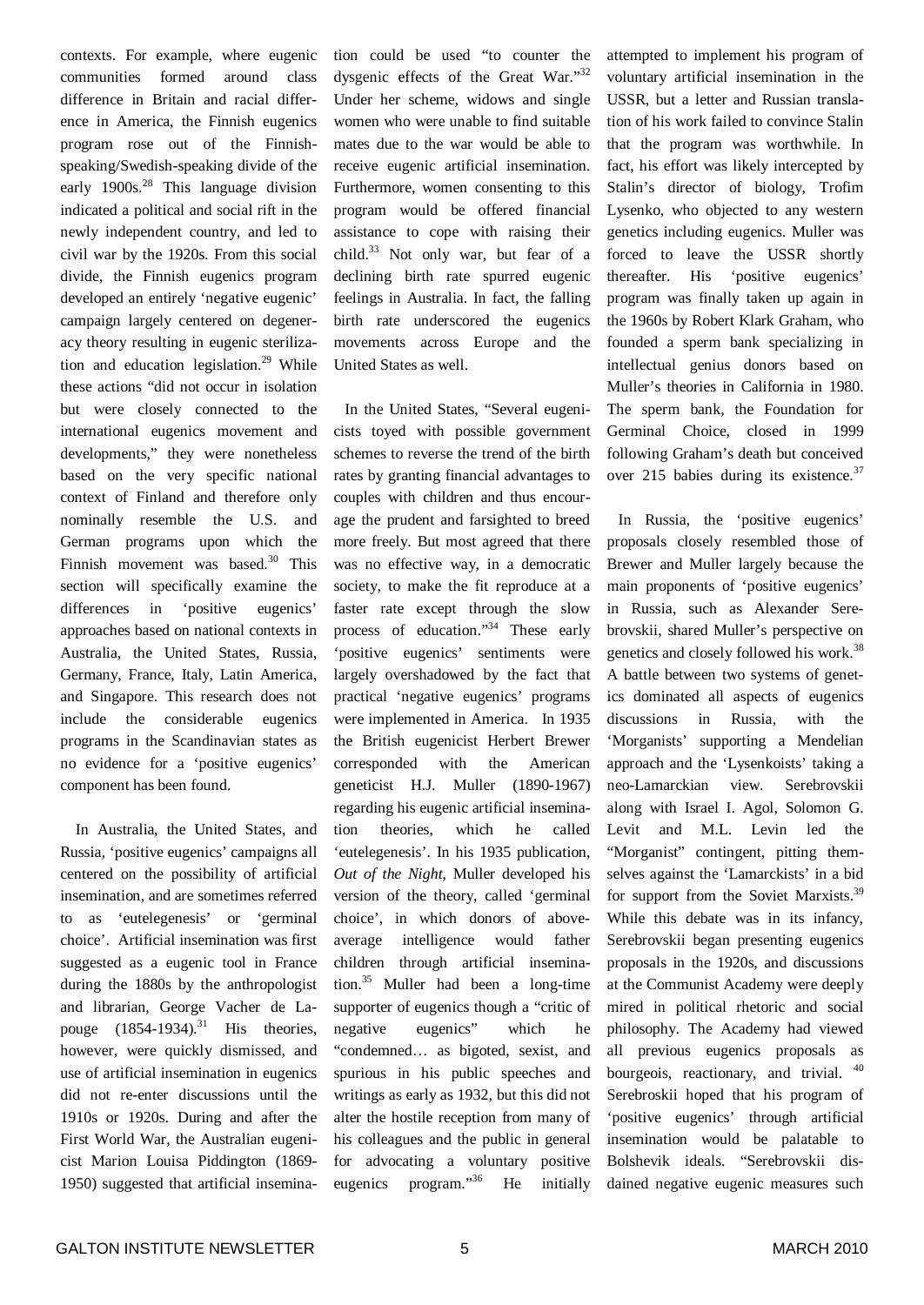contexts. For example, where eugenic communities formed around class difference in Britain and racial difference in America, the Finnish eugenics program rose out of the Finnishspeaking/Swedish-speaking divide of the early 1900s. <sup>28</sup> This language division indicated a political and social rift in the newly independent country, and led to civil war by the 1920s. From this social divide, the Finnish eugenics program developed an entirely 'negative eugenic' campaign largely centered on degeneracy theory resulting in eugenic sterilization and education legislation. <sup>29</sup> While these actions "did not occur in isolation but were closely connected to the international eugenics movement and developments," they were nonetheless based on the very specific national context of Finland and therefore only nominally resemble the U.S. and German programs upon which the Finnish movement was based. <sup>30</sup> This section will specifically examine the differences in 'positive eugenics' approaches based on national contexts in Australia, the United States, Russia, Germany, France, Italy, Latin America, and Singapore. This research does not include the considerable eugenics programs in the Scandinavian states as no evidence for a 'positive eugenics' component has been found.

In Australia, the United States, and Russia, 'positive eugenics' campaigns all centered on the possibility of artificial insemination, and are sometimes referred to as 'eutelegenesis' or 'germinal choice'. Artificial insemination was first suggested as a eugenic tool in France during the 1880s by the anthropologist and librarian, George Vacher de Lapouge  $(1854-1934).$ <sup>31</sup> His theories, however, were quickly dismissed, and use of artificial insemination in eugenics did not re-enter discussions until the 1910s or 1920s. During and after the First World War, the Australian eugenicist Marion Louisa Piddington (1869- 1950) suggested that artificial insemination could be used "to counter the dysgenic effects of the Great War."32 Under her scheme, widows and single women who were unable to find suitable mates due to the war would be able to receive eugenic artificial insemination. Furthermore, women consenting to this program would be offered financial assistance to cope with raising their child. <sup>33</sup> Not only war, but fear of a declining birth rate spurred eugenic feelings in Australia. In fact, the falling birth rate underscored the eugenics movements across Europe and the United States as well.

In the United States, "Several eugenicists toyed with possible government schemes to reverse the trend of the birth rates by granting financial advantages to couples with children and thus encourage the prudent and farsighted to breed more freely. But most agreed that there was no effective way, in a democratic society, to make the fit reproduce at a faster rate except through the slow process of education."<sup>34</sup> These early 'positive eugenics' sentiments were largely overshadowed by the fact that practical 'negative eugenics' programs were implemented in America. In 1935 the British eugenicist Herbert Brewer corresponded with the American geneticist H.J. Muller (1890-1967) regarding his eugenic artificial insemination theories, which he called 'eutelegenesis'. In his 1935 publication, *Out of the Night*, Muller developed his version of the theory, called 'germinal choice', in which donors of aboveaverage intelligence would father children through artificial insemination. <sup>35</sup> Muller had been a long-time supporter of eugenics though a "critic of negative eugenics" which he "condemned… as bigoted, sexist, and spurious in his public speeches and writings as early as 1932, but this did not alter the hostile reception from many of his colleagues and the public in general for advocating a voluntary positive eugenics program."36 He initially attempted to implement his program of voluntary artificial insemination in the USSR, but a letter and Russian translation of his work failed to convince Stalin that the program was worthwhile. In fact, his effort was likely intercepted by Stalin's director of biology, Trofim Lysenko, who objected to any western genetics including eugenics. Muller was forced to leave the USSR shortly thereafter. His 'positive eugenics' program was finally taken up again in the 1960s by Robert Klark Graham, who founded a sperm bank specializing in intellectual genius donors based on Muller's theories in California in 1980. The sperm bank, the Foundation for Germinal Choice, closed in 1999 following Graham's death but conceived over 215 babies during its existence.<sup>37</sup>

In Russia, the 'positive eugenics' proposals closely resembled those of Brewer and Muller largely because the main proponents of 'positive eugenics' in Russia, such as Alexander Serebrovskii, shared Muller's perspective on genetics and closely followed his work.<sup>38</sup> A battle between two systems of genetics dominated all aspects of eugenics discussions in Russia, with the 'Morganists' supporting a Mendelian approach and the 'Lysenkoists' taking a neo-Lamarckian view. Serebrovskii along with Israel I. Agol, Solomon G. Levit and M.L. Levin led the "Morganist" contingent, pitting themselves against the 'Lamarckists' in a bid for support from the Soviet Marxists.<sup>39</sup> While this debate was in its infancy, Serebrovskii began presenting eugenics proposals in the 1920s, and discussions at the Communist Academy were deeply mired in political rhetoric and social philosophy. The Academy had viewed all previous eugenics proposals as bourgeois, reactionary, and trivial. <sup>40</sup> Serebroskii hoped that his program of 'positive eugenics' through artificial insemination would be palatable to Bolshevik ideals. "Serebrovskii disdained negative eugenic measures such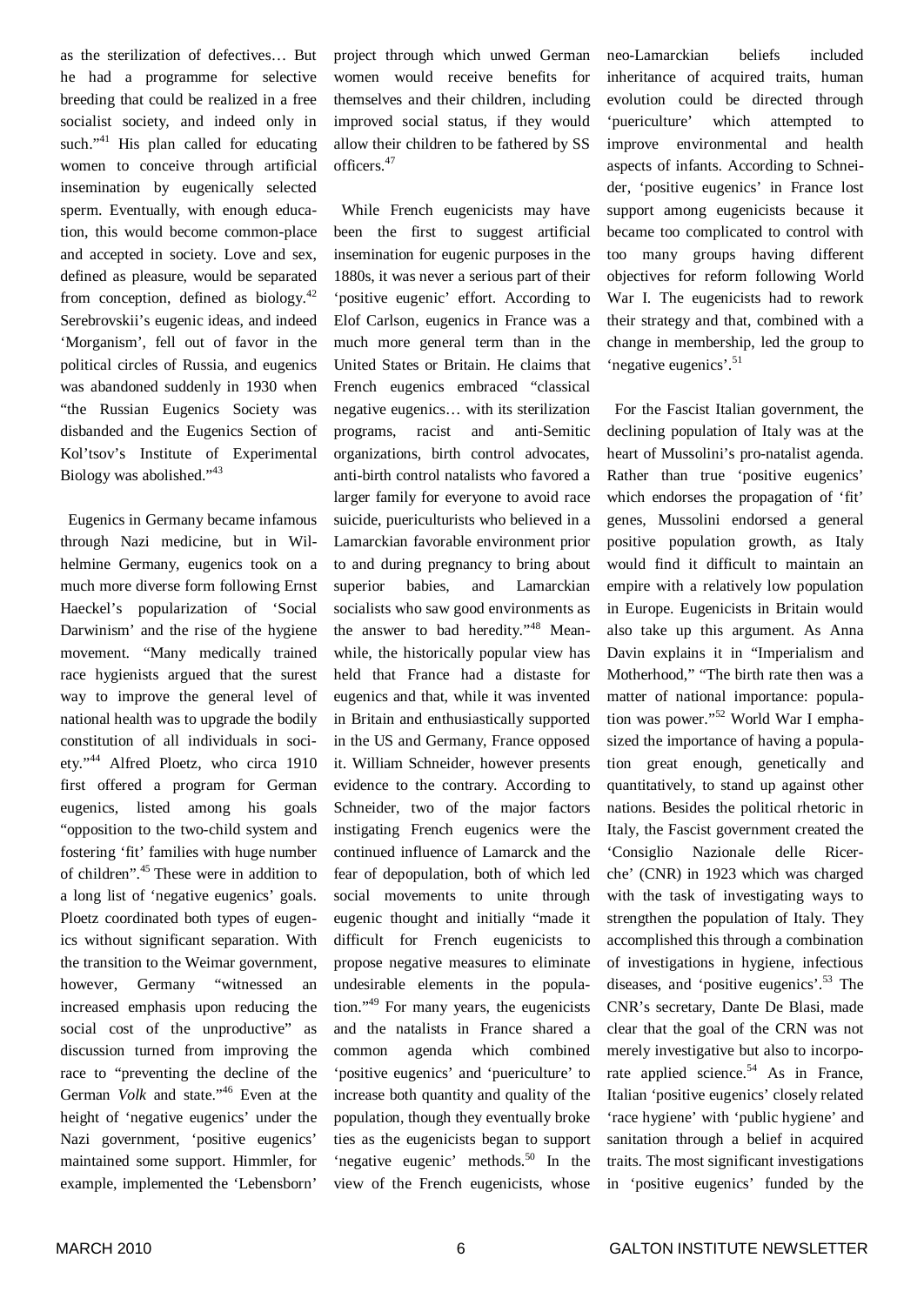as the sterilization of defectives… But he had a programme for selective breeding that could be realized in a free socialist society, and indeed only in such."<sup>41</sup> His plan called for educating women to conceive through artificial insemination by eugenically selected sperm. Eventually, with enough education, this would become common-place and accepted in society. Love and sex, defined as pleasure, would be separated from conception, defined as biology.<sup>42</sup> Serebrovskii's eugenic ideas, and indeed 'Morganism', fell out of favor in the political circles of Russia, and eugenics was abandoned suddenly in 1930 when "the Russian Eugenics Society was disbanded and the Eugenics Section of Kol'tsov's Institute of Experimental Biology was abolished."<sup>43</sup>

Eugenics in Germany became infamous through Nazi medicine, but in Wilhelmine Germany, eugenics took on a much more diverse form following Ernst Haeckel's popularization of 'Social Darwinism' and the rise of the hygiene movement. "Many medically trained race hygienists argued that the surest way to improve the general level of national health was to upgrade the bodily constitution of all individuals in society." <sup>44</sup> Alfred Ploetz, who circa 1910 first offered a program for German eugenics, listed among his goals "opposition to the two-child system and fostering 'fit' families with huge number of children". <sup>45</sup> These were in addition to a long list of 'negative eugenics' goals. Ploetz coordinated both types of eugenics without significant separation. With the transition to the Weimar government, however, Germany "witnessed an increased emphasis upon reducing the social cost of the unproductive" as discussion turned from improving the race to "preventing the decline of the German *Volk* and state." <sup>46</sup> Even at the height of 'negative eugenics' under the Nazi government, 'positive eugenics' maintained some support. Himmler, for example, implemented the 'Lebensborn'

project through which unwed German women would receive benefits for themselves and their children, including improved social status, if they would allow their children to be fathered by SS officers. 47

While French eugenicists may have been the first to suggest artificial insemination for eugenic purposes in the 1880s, it was never a serious part of their 'positive eugenic' effort. According to Elof Carlson, eugenics in France was a much more general term than in the United States or Britain. He claims that French eugenics embraced "classical negative eugenics… with its sterilization programs, racist and anti-Semitic organizations, birth control advocates, anti-birth control natalists who favored a larger family for everyone to avoid race suicide, puericulturists who believed in a Lamarckian favorable environment prior to and during pregnancy to bring about superior babies, and Lamarckian socialists who saw good environments as the answer to bad heredity."<sup>48</sup> Meanwhile, the historically popular view has held that France had a distaste for eugenics and that, while it was invented in Britain and enthusiastically supported in the US and Germany, France opposed it. William Schneider, however presents evidence to the contrary. According to Schneider, two of the major factors instigating French eugenics were the continued influence of Lamarck and the fear of depopulation, both of which led social movements to unite through eugenic thought and initially "made it difficult for French eugenicists to propose negative measures to eliminate undesirable elements in the population." 49 For many years, the eugenicists and the natalists in France shared a common agenda which combined 'positive eugenics' and 'puericulture' to increase both quantity and quality of the population, though they eventually broke ties as the eugenicists began to support 'negative eugenic' methods.<sup>50</sup> In the view of the French eugenicists, whose

neo-Lamarckian beliefs included inheritance of acquired traits, human evolution could be directed through 'puericulture' which attempted to improve environmental and health aspects of infants. According to Schneider, 'positive eugenics' in France lost support among eugenicists because it became too complicated to control with too many groups having different objectives for reform following World War I. The eugenicists had to rework their strategy and that, combined with a change in membership, led the group to 'negative eugenics'. 51

For the Fascist Italian government, the declining population of Italy was at the heart of Mussolini's pro-natalist agenda. Rather than true 'positive eugenics' which endorses the propagation of 'fit' genes, Mussolini endorsed a general positive population growth, as Italy would find it difficult to maintain an empire with a relatively low population in Europe. Eugenicists in Britain would also take up this argument. As Anna Davin explains it in "Imperialism and Motherhood," "The birth rate then was a matter of national importance: population was power." <sup>52</sup> World War I emphasized the importance of having a population great enough, genetically and quantitatively, to stand up against other nations. Besides the political rhetoric in Italy, the Fascist government created the 'Consiglio Nazionale delle Ricerche' (CNR) in 1923 which was charged with the task of investigating ways to strengthen the population of Italy. They accomplished this through a combination of investigations in hygiene, infectious diseases, and 'positive eugenics'. <sup>53</sup> The CNR's secretary, Dante De Blasi, made clear that the goal of the CRN was not merely investigative but also to incorporate applied science.<sup>54</sup> As in France, Italian 'positive eugenics' closely related 'race hygiene' with 'public hygiene' and sanitation through a belief in acquired traits. The most significant investigations in 'positive eugenics' funded by the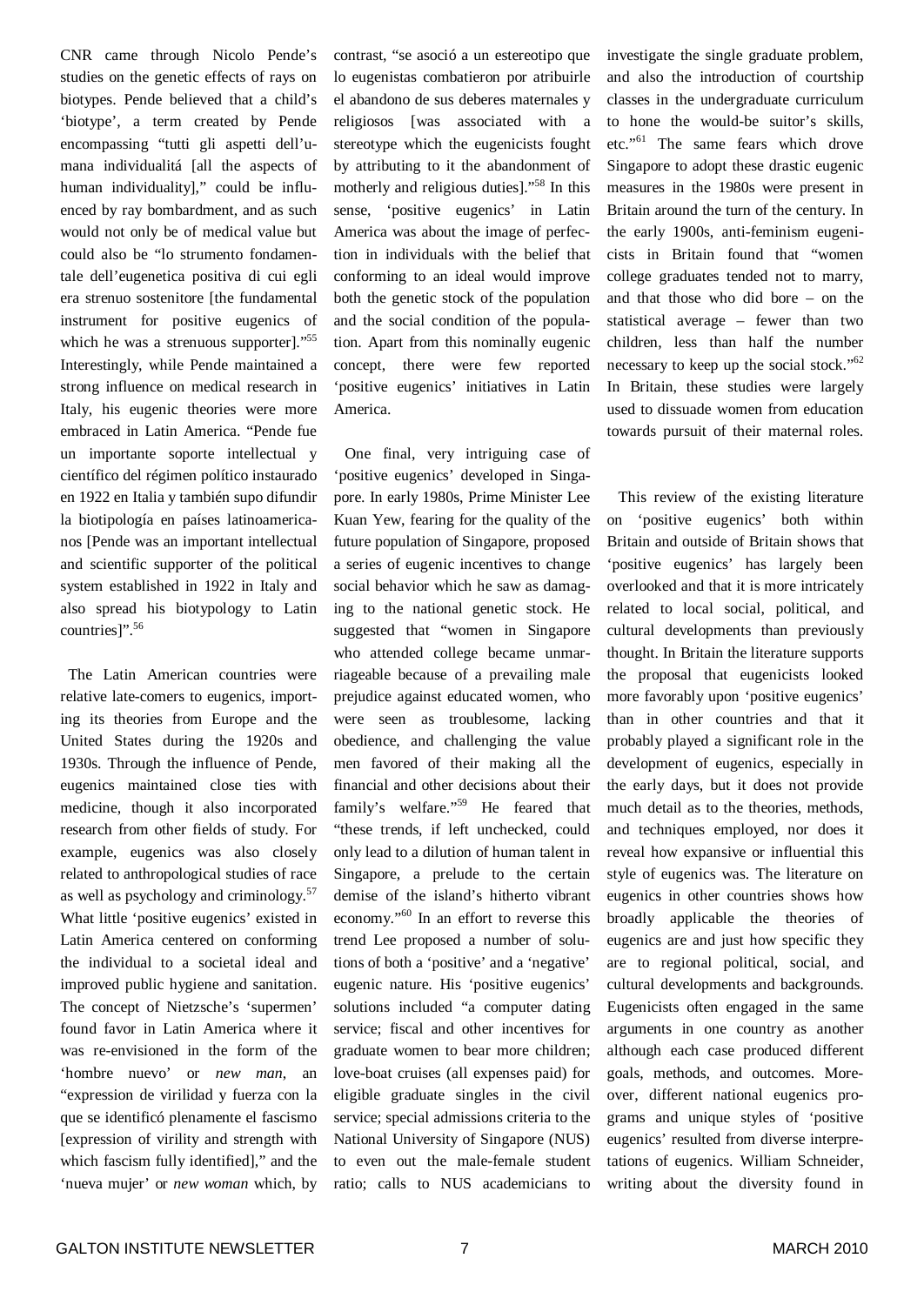CNR came through Nicolo Pende's studies on the genetic effects of rays on biotypes. Pende believed that a child's 'biotype', a term created by Pende encompassing "tutti gli aspetti dell'umana individualitá [all the aspects of human individuality]," could be influenced by ray bombardment, and as such would not only be of medical value but could also be "lo strumento fondamentale dell'eugenetica positiva di cui egli era strenuo sostenitore [the fundamental instrument for positive eugenics of which he was a strenuous supporter]."<sup>55</sup> Interestingly, while Pende maintained a strong influence on medical research in Italy, his eugenic theories were more embraced in Latin America. "Pende fue un importante soporte intellectual y científico del régimen político instaurado en 1922 en Italia y también supo difundir la biotipología en países latinoamericanos [Pende was an important intellectual and scientific supporter of the political system established in 1922 in Italy and also spread his biotypology to Latin countries]". 56

The Latin American countries were relative late-comers to eugenics, importing its theories from Europe and the United States during the 1920s and 1930s. Through the influence of Pende, eugenics maintained close ties with medicine, though it also incorporated research from other fields of study. For example, eugenics was also closely related to anthropological studies of race as well as psychology and criminology. 57 What little 'positive eugenics' existed in Latin America centered on conforming the individual to a societal ideal and improved public hygiene and sanitation. The concept of Nietzsche's 'supermen' found favor in Latin America where it was re-envisioned in the form of the 'hombre nuevo' or *new man*, an "expression de virilidad y fuerza con la que se identificó plenamente el fascismo [expression of virility and strength with which fascism fully identified]," and the 'nueva mujer' or *new woman* which, by

contrast, "se asoció a un estereotipo que lo eugenistas combatieron por atribuirle el abandono de sus deberes maternales y religiosos [was associated with a stereotype which the eugenicists fought by attributing to it the abandonment of motherly and religious duties]." 58 In this sense, 'positive eugenics' in Latin America was about the image of perfection in individuals with the belief that conforming to an ideal would improve both the genetic stock of the population and the social condition of the population. Apart from this nominally eugenic concept, there were few reported 'positive eugenics' initiatives in Latin America.

One final, very intriguing case of 'positive eugenics' developed in Singapore. In early 1980s, Prime Minister Lee Kuan Yew, fearing for the quality of the future population of Singapore, proposed a series of eugenic incentives to change social behavior which he saw as damaging to the national genetic stock. He suggested that "women in Singapore who attended college became unmarriageable because of a prevailing male prejudice against educated women, who were seen as troublesome, lacking obedience, and challenging the value men favored of their making all the financial and other decisions about their family's welfare."<sup>59</sup> He feared that "these trends, if left unchecked, could only lead to a dilution of human talent in Singapore, a prelude to the certain demise of the island's hitherto vibrant economy."<sup>60</sup> In an effort to reverse this trend Lee proposed a number of solutions of both a 'positive' and a 'negative' eugenic nature. His 'positive eugenics' solutions included "a computer dating service; fiscal and other incentives for graduate women to bear more children; love-boat cruises (all expenses paid) for eligible graduate singles in the civil service; special admissions criteria to the National University of Singapore (NUS) to even out the male-female student ratio; calls to NUS academicians to

investigate the single graduate problem, and also the introduction of courtship classes in the undergraduate curriculum to hone the would-be suitor's skills, etc."<sup>61</sup> The same fears which drove Singapore to adopt these drastic eugenic measures in the 1980s were present in Britain around the turn of the century. In the early 1900s, anti-feminism eugenicists in Britain found that "women college graduates tended not to marry, and that those who did bore – on the statistical average – fewer than two children, less than half the number necessary to keep up the social stock."<sup>62</sup> In Britain, these studies were largely used to dissuade women from education towards pursuit of their maternal roles.

This review of the existing literature on 'positive eugenics' both within Britain and outside of Britain shows that 'positive eugenics' has largely been overlooked and that it is more intricately related to local social, political, and cultural developments than previously thought. In Britain the literature supports the proposal that eugenicists looked more favorably upon 'positive eugenics' than in other countries and that it probably played a significant role in the development of eugenics, especially in the early days, but it does not provide much detail as to the theories, methods, and techniques employed, nor does it reveal how expansive or influential this style of eugenics was. The literature on eugenics in other countries shows how broadly applicable the theories of eugenics are and just how specific they are to regional political, social, and cultural developments and backgrounds. Eugenicists often engaged in the same arguments in one country as another although each case produced different goals, methods, and outcomes. Moreover, different national eugenics programs and unique styles of 'positive eugenics' resulted from diverse interpretations of eugenics. William Schneider, writing about the diversity found in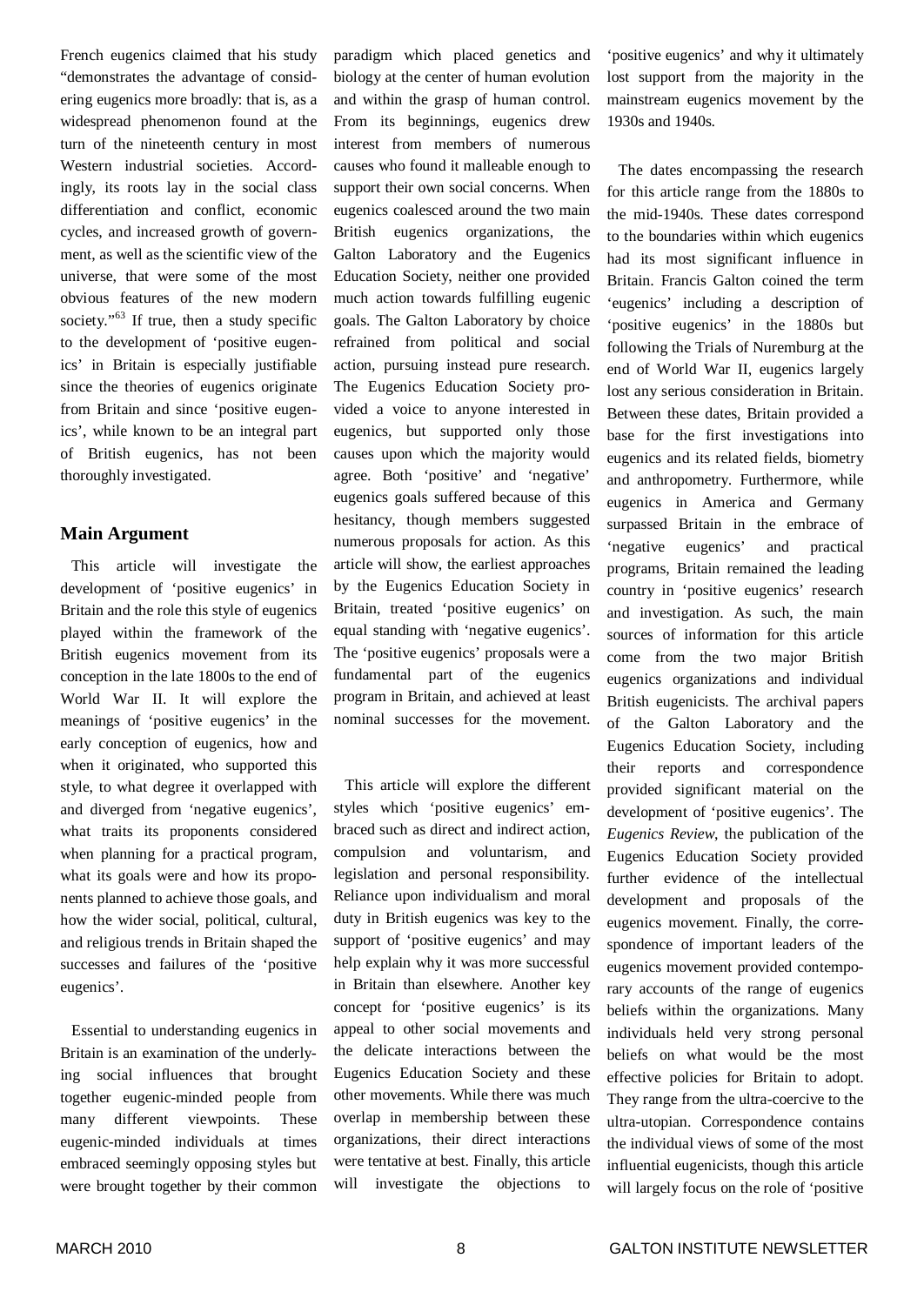French eugenics claimed that his study "demonstrates the advantage of considering eugenics more broadly: that is, as a widespread phenomenon found at the turn of the nineteenth century in most Western industrial societies. Accordingly, its roots lay in the social class differentiation and conflict, economic cycles, and increased growth of government, as well as the scientific view of the universe, that were some of the most obvious features of the new modern society."<sup>63</sup> If true, then a study specific to the development of 'positive eugenics' in Britain is especially justifiable since the theories of eugenics originate from Britain and since 'positive eugenics', while known to be an integral part of British eugenics, has not been thoroughly investigated.

#### **Main Argument**

This article will investigate the development of 'positive eugenics' in Britain and the role this style of eugenics played within the framework of the British eugenics movement from its conception in the late 1800s to the end of World War II. It will explore the meanings of 'positive eugenics' in the early conception of eugenics, how and when it originated, who supported this style, to what degree it overlapped with and diverged from 'negative eugenics', what traits its proponents considered when planning for a practical program, what its goals were and how its proponents planned to achieve those goals, and how the wider social, political, cultural, and religious trends in Britain shaped the successes and failures of the 'positive eugenics'.

Essential to understanding eugenics in Britain is an examination of the underlying social influences that brought together eugenic-minded people from many different viewpoints. These eugenic-minded individuals at times embraced seemingly opposing styles but were brought together by their common

paradigm which placed genetics and biology at the center of human evolution and within the grasp of human control. From its beginnings, eugenics drew interest from members of numerous causes who found it malleable enough to support their own social concerns. When eugenics coalesced around the two main British eugenics organizations, the Galton Laboratory and the Eugenics Education Society, neither one provided much action towards fulfilling eugenic goals. The Galton Laboratory by choice refrained from political and social action, pursuing instead pure research. The Eugenics Education Society provided a voice to anyone interested in eugenics, but supported only those causes upon which the majority would agree. Both 'positive' and 'negative' eugenics goals suffered because of this hesitancy, though members suggested numerous proposals for action. As this article will show, the earliest approaches by the Eugenics Education Society in Britain, treated 'positive eugenics' on equal standing with 'negative eugenics'. The 'positive eugenics' proposals were a fundamental part of the eugenics program in Britain, and achieved at least nominal successes for the movement.

This article will explore the different styles which 'positive eugenics' embraced such as direct and indirect action, compulsion and voluntarism, and legislation and personal responsibility. Reliance upon individualism and moral duty in British eugenics was key to the support of 'positive eugenics' and may help explain why it was more successful in Britain than elsewhere. Another key concept for 'positive eugenics' is its appeal to other social movements and the delicate interactions between the Eugenics Education Society and these other movements. While there was much overlap in membership between these organizations, their direct interactions were tentative at best. Finally, this article will investigate the objections to

'positive eugenics' and why it ultimately lost support from the majority in the mainstream eugenics movement by the 1930s and 1940s.

The dates encompassing the research for this article range from the 1880s to the mid-1940s. These dates correspond to the boundaries within which eugenics had its most significant influence in Britain. Francis Galton coined the term 'eugenics' including a description of 'positive eugenics' in the 1880s but following the Trials of Nuremburg at the end of World War II, eugenics largely lost any serious consideration in Britain. Between these dates, Britain provided a base for the first investigations into eugenics and its related fields, biometry and anthropometry. Furthermore, while eugenics in America and Germany surpassed Britain in the embrace of 'negative eugenics' and practical programs, Britain remained the leading country in 'positive eugenics' research and investigation. As such, the main sources of information for this article come from the two major British eugenics organizations and individual British eugenicists. The archival papers of the Galton Laboratory and the Eugenics Education Society, including their reports and correspondence provided significant material on the development of 'positive eugenics'. The *Eugenics Review*, the publication of the Eugenics Education Society provided further evidence of the intellectual development and proposals of the eugenics movement. Finally, the correspondence of important leaders of the eugenics movement provided contemporary accounts of the range of eugenics beliefs within the organizations. Many individuals held very strong personal beliefs on what would be the most effective policies for Britain to adopt. They range from the ultra-coercive to the ultra-utopian. Correspondence contains the individual views of some of the most influential eugenicists, though this article will largely focus on the role of 'positive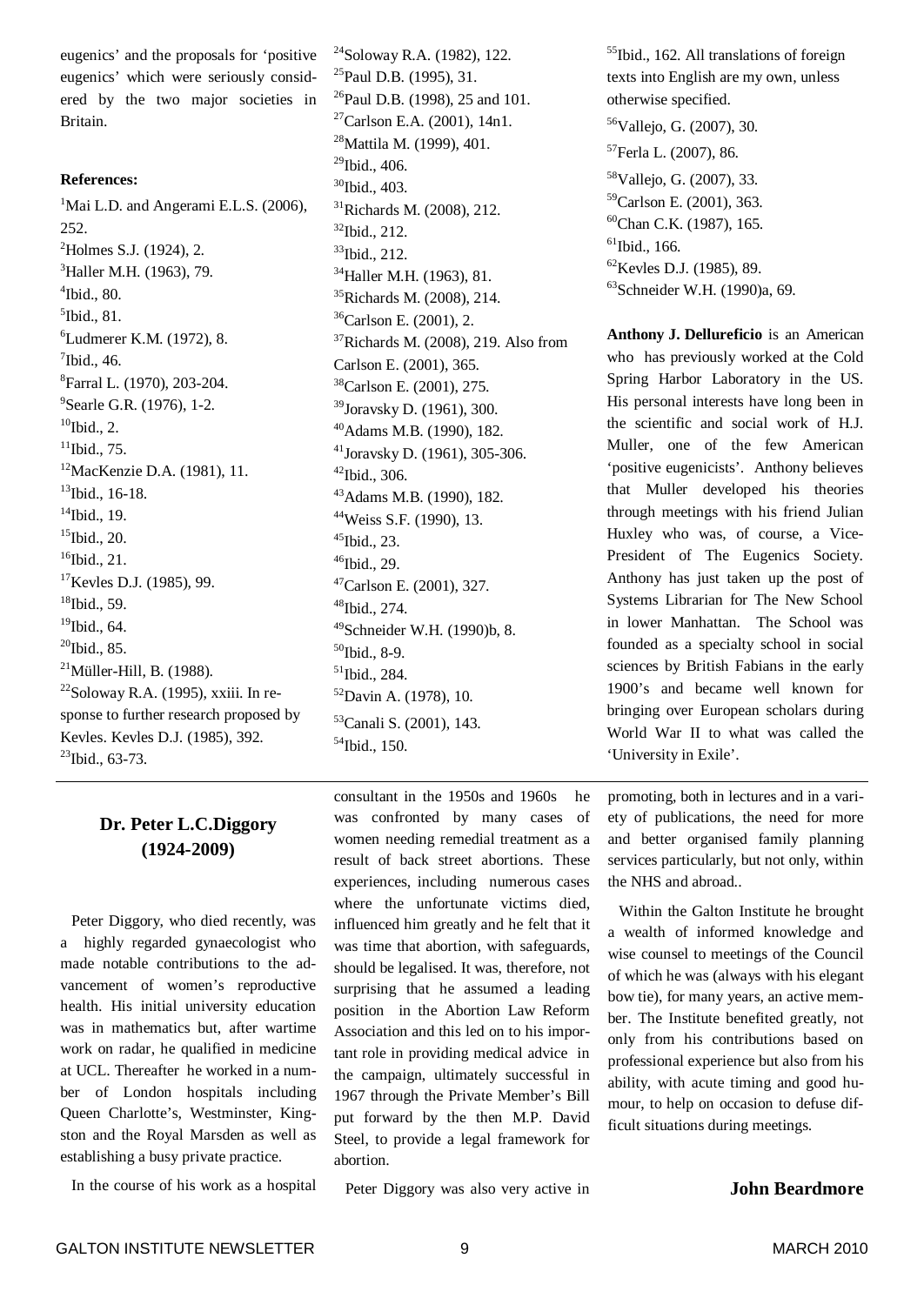eugenics' and the proposals for 'positive eugenics' which were seriously considered by the two major societies in Britain.

#### **References:**

<sup>1</sup>Mai L.D. and Angerami E.L.S. (2006), 252. <sup>2</sup>Holmes S.J. (1924), 2. <sup>3</sup>Haller M.H. (1963), 79. 4 Ibid., 80. 5 Ibid., 81. <sup>6</sup>Ludmerer K.M. (1972), 8.  $7$ Ibid., 46. 8 Farral L. (1970), 203-204. <sup>9</sup> Searle G.R. (1976), 1-2.  $10$ Ibid., 2.  $11$ Ibid., 75. <sup>12</sup>MacKenzie D.A. (1981), 11. 13 Ibid., 16-18.  $14$ Ibid., 19. 15 Ibid., 20. 16 Ibid., 21. <sup>17</sup>Kevles D.J. (1985), 99. 18 Ibid., 59. 19 Ibid., 64.  $^{20}$ Ibid., 85.  $^{21}$ Müller-Hill, B. (1988).  $22$ Soloway R.A. (1995), xxiii. In response to further research proposed by Kevles. Kevles D.J. (1985), 392.  $^{23}$ Ibid., 63-73.

#### **Dr. Peter L.C.Diggory (1924-2009)**

Peter Diggory, who died recently, was a highly regarded gynaecologist who made notable contributions to the advancement of women's reproductive health. His initial university education was in mathematics but, after wartime work on radar, he qualified in medicine at UCL. Thereafter he worked in a number of London hospitals including Queen Charlotte's, Westminster, Kingston and the Royal Marsden as well as establishing a busy private practice.

In the course of his work as a hospital

<sup>24</sup>Soloway R.A. (1982), 122. <sup>25</sup>Paul D.B. (1995), 31. <sup>26</sup>Paul D.B. (1998), 25 and 101. Carlson E.A. (2001), 14n1. Mattila M. (1999), 401. <sup>29</sup>Ibid., 406. Ibid., 403. Richards M. (2008), 212. Ibid., 212. Ibid., 212. <sup>34</sup>Haller M.H. (1963), 81. Richards M. (2008), 214. Carlson E. (2001), 2. Richards M. (2008), 219. Also from Carlson E. (2001), 365. Carlson E. (2001), 275. Joravsky D. (1961), 300. Adams M.B. (1990), 182. Joravsky D. (1961), 305-306. Ibid., 306. Adams M.B. (1990), 182. Weiss S.F. (1990), 13. Ibid., 23. Ibid., 29. Carlson E. (2001), 327. Ibid., 274. Schneider W.H. (1990)b, 8. <sup>50</sup>Ibid., 8-9. Ibid., 284. Davin A. (1978), 10. Canali S. (2001), 143.

54 Ibid., 150.

consultant in the 1950s and 1960s he was confronted by many cases of women needing remedial treatment as a result of back street abortions. These experiences, including numerous cases where the unfortunate victims died, influenced him greatly and he felt that it was time that abortion, with safeguards, should be legalised. It was, therefore, not surprising that he assumed a leading position in the Abortion Law Reform Association and this led on to his important role in providing medical advice in the campaign, ultimately successful in 1967 through the Private Member's Bill put forward by the then M.P. David Steel, to provide a legal framework for abortion.

Peter Diggory was also very active in

<sup>55</sup>Ibid., 162. All translations of foreign texts into English are my own, unless otherwise specified. <sup>56</sup>Vallejo, G. (2007), 30. 57 Ferla L. (2007), 86. <sup>58</sup>Vallejo, G. (2007), 33. <sup>59</sup>Carlson E. (2001), 363. <sup>60</sup>Chan C.K. (1987), 165. 61 Ibid., 166. <sup>62</sup>Kevles D.J. (1985), 89. 63 Schneider W.H. (1990)a, 69.

**Anthony J. Dellureficio** is an American who has previously worked at the Cold Spring Harbor Laboratory in the US. His personal interests have long been in the scientific and social work of H.J. Muller, one of the few American 'positive eugenicists'. Anthony believes that Muller developed his theories through meetings with his friend Julian Huxley who was, of course, a Vice-President of The Eugenics Society. Anthony has just taken up the post of Systems Librarian for The New School in lower Manhattan. The School was founded as a specialty school in social sciences by British Fabians in the early 1900's and became well known for bringing over European scholars during World War II to what was called the 'University in Exile'.

promoting, both in lectures and in a variety of publications, the need for more and better organised family planning services particularly, but not only, within the NHS and abroad..

Within the Galton Institute he brought a wealth of informed knowledge and wise counsel to meetings of the Council of which he was (always with his elegant bow tie), for many years, an active member. The Institute benefited greatly, not only from his contributions based on professional experience but also from his ability, with acute timing and good humour, to help on occasion to defuse difficult situations during meetings.

#### **John Beardmore**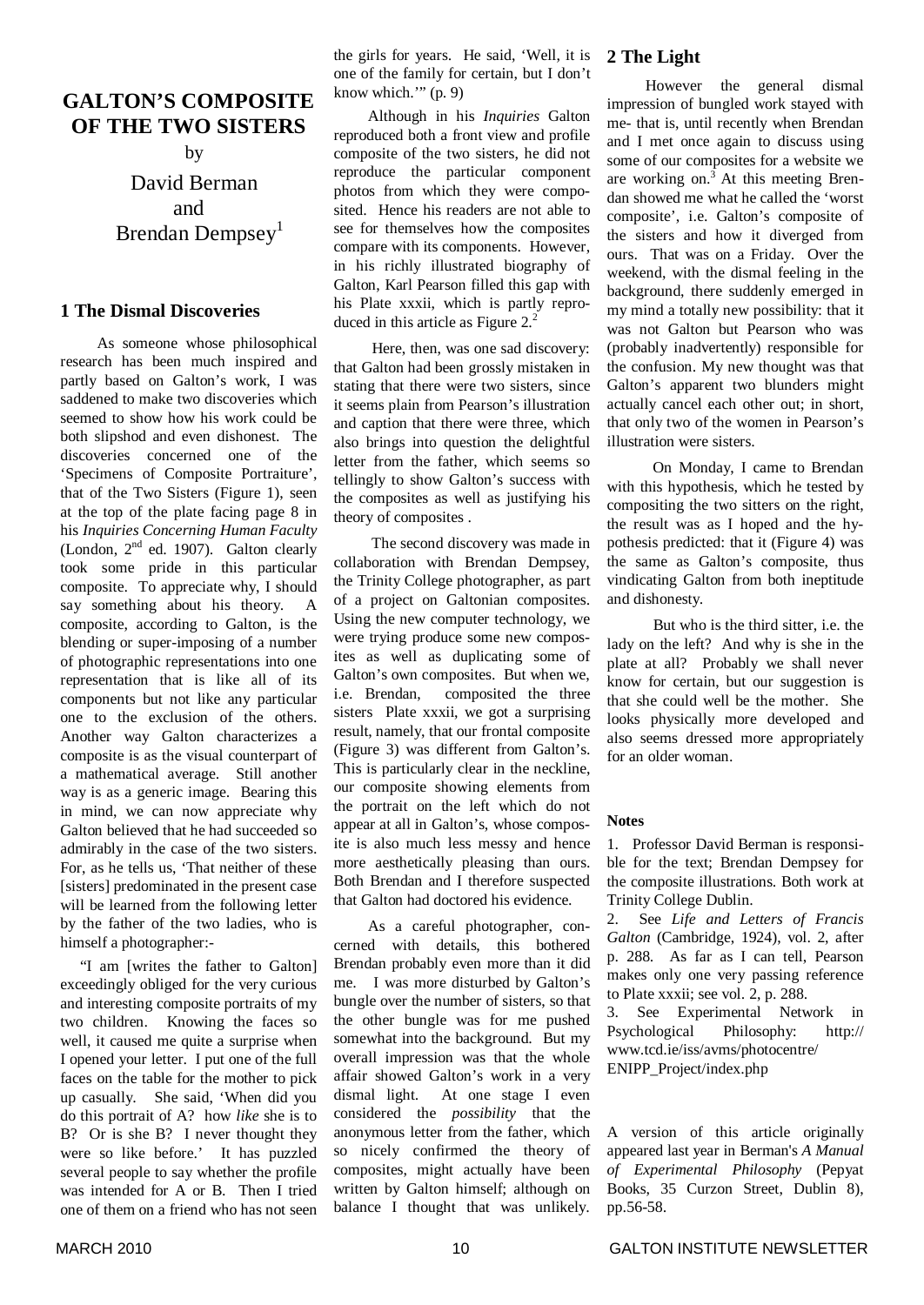### **GALTON'S COMPOSITE OF THE TWO SISTERS**

by

David Berman and Brendan Dempsey<sup>1</sup>

#### **1 The Dismal Discoveries**

As someone whose philosophical research has been much inspired and partly based on Galton's work, I was saddened to make two discoveries which seemed to show how his work could be both slipshod and even dishonest. The discoveries concerned one of the 'Specimens of Composite Portraiture', that of the Two Sisters (Figure 1), seen at the top of the plate facing page 8 in his *Inquiries Concerning Human Faculty* (London,  $2<sup>nd</sup>$  ed. 1907). Galton clearly took some pride in this particular composite. To appreciate why, I should say something about his theory. A composite, according to Galton, is the blending or super-imposing of a number of photographic representations into one representation that is like all of its components but not like any particular one to the exclusion of the others. Another way Galton characterizes a composite is as the visual counterpart of a mathematical average. Still another way is as a generic image. Bearing this in mind, we can now appreciate why Galton believed that he had succeeded so admirably in the case of the two sisters. For, as he tells us, 'That neither of these [sisters] predominated in the present case will be learned from the following letter by the father of the two ladies, who is himself a photographer:-

"I am [writes the father to Galton] exceedingly obliged for the very curious and interesting composite portraits of my two children. Knowing the faces so well, it caused me quite a surprise when I opened your letter. I put one of the full faces on the table for the mother to pick up casually. She said, 'When did you do this portrait of A? how *like* she is to B? Or is she B? I never thought they were so like before.' It has puzzled several people to say whether the profile was intended for A or B. Then I tried one of them on a friend who has not seen

the girls for years. He said, 'Well, it is one of the family for certain, but I don't know which."  $(p, 9)$ 

Although in his *Inquiries* Galton reproduced both a front view and profile composite of the two sisters, he did not reproduce the particular component photos from which they were composited. Hence his readers are not able to see for themselves how the composites compare with its components. However, in his richly illustrated biography of Galton, Karl Pearson filled this gap with his Plate xxxii, which is partly reproduced in this article as Figure 2.<sup>2</sup>

Here, then, was one sad discovery: that Galton had been grossly mistaken in stating that there were two sisters, since it seems plain from Pearson's illustration and caption that there were three, which also brings into question the delightful letter from the father, which seems so tellingly to show Galton's success with the composites as well as justifying his theory of composites .

The second discovery was made in collaboration with Brendan Dempsey, the Trinity College photographer, as part of a project on Galtonian composites. Using the new computer technology, we were trying produce some new composites as well as duplicating some of Galton's own composites. But when we, i.e. Brendan, composited the three sisters Plate xxxii, we got a surprising result, namely, that our frontal composite (Figure 3) was different from Galton's. This is particularly clear in the neckline, our composite showing elements from the portrait on the left which do not appear at all in Galton's, whose composite is also much less messy and hence more aesthetically pleasing than ours. Both Brendan and I therefore suspected that Galton had doctored his evidence.

As a careful photographer, concerned with details, this bothered Brendan probably even more than it did me. I was more disturbed by Galton's bungle over the number of sisters, so that the other bungle was for me pushed somewhat into the background. But my overall impression was that the whole affair showed Galton's work in a very dismal light. At one stage I even considered the *possibility* that the anonymous letter from the father, which so nicely confirmed the theory of composites, might actually have been written by Galton himself; although on balance I thought that was unlikely.

#### **2 The Light**

However the general dismal impression of bungled work stayed with me- that is, until recently when Brendan and I met once again to discuss using some of our composites for a website we are working on. <sup>3</sup> At this meeting Brendan showed me what he called the 'worst composite', i.e. Galton's composite of the sisters and how it diverged from ours. That was on a Friday. Over the weekend, with the dismal feeling in the background, there suddenly emerged in my mind a totally new possibility: that it was not Galton but Pearson who was (probably inadvertently) responsible for the confusion. My new thought was that Galton's apparent two blunders might actually cancel each other out; in short, that only two of the women in Pearson's illustration were sisters.

On Monday, I came to Brendan with this hypothesis, which he tested by compositing the two sitters on the right, the result was as I hoped and the hypothesis predicted: that it (Figure 4) was the same as Galton's composite, thus vindicating Galton from both ineptitude and dishonesty.

But who is the third sitter, i.e. the lady on the left? And why is she in the plate at all? Probably we shall never know for certain, but our suggestion is that she could well be the mother. She looks physically more developed and also seems dressed more appropriately for an older woman.

#### **Notes**

1. Professor David Berman is responsible for the text; Brendan Dempsey for the composite illustrations. Both work at Trinity College Dublin.

2. See *Life and Letters of Francis Galton* (Cambridge, 1924), vol. 2, after p. 288. As far as I can tell, Pearson makes only one very passing reference to Plate xxxii; see vol. 2, p. 288.

3. See Experimental Network in Psychological Philosophy: http:// www.tcd.ie/iss/avms/photocentre/ ENIPP\_Project/index.php

#### A version of this article originally appeared last year in Berman's *A Manual of Experimental Philosophy* (Pepyat Books, 35 Curzon Street, Dublin 8), pp.56-58.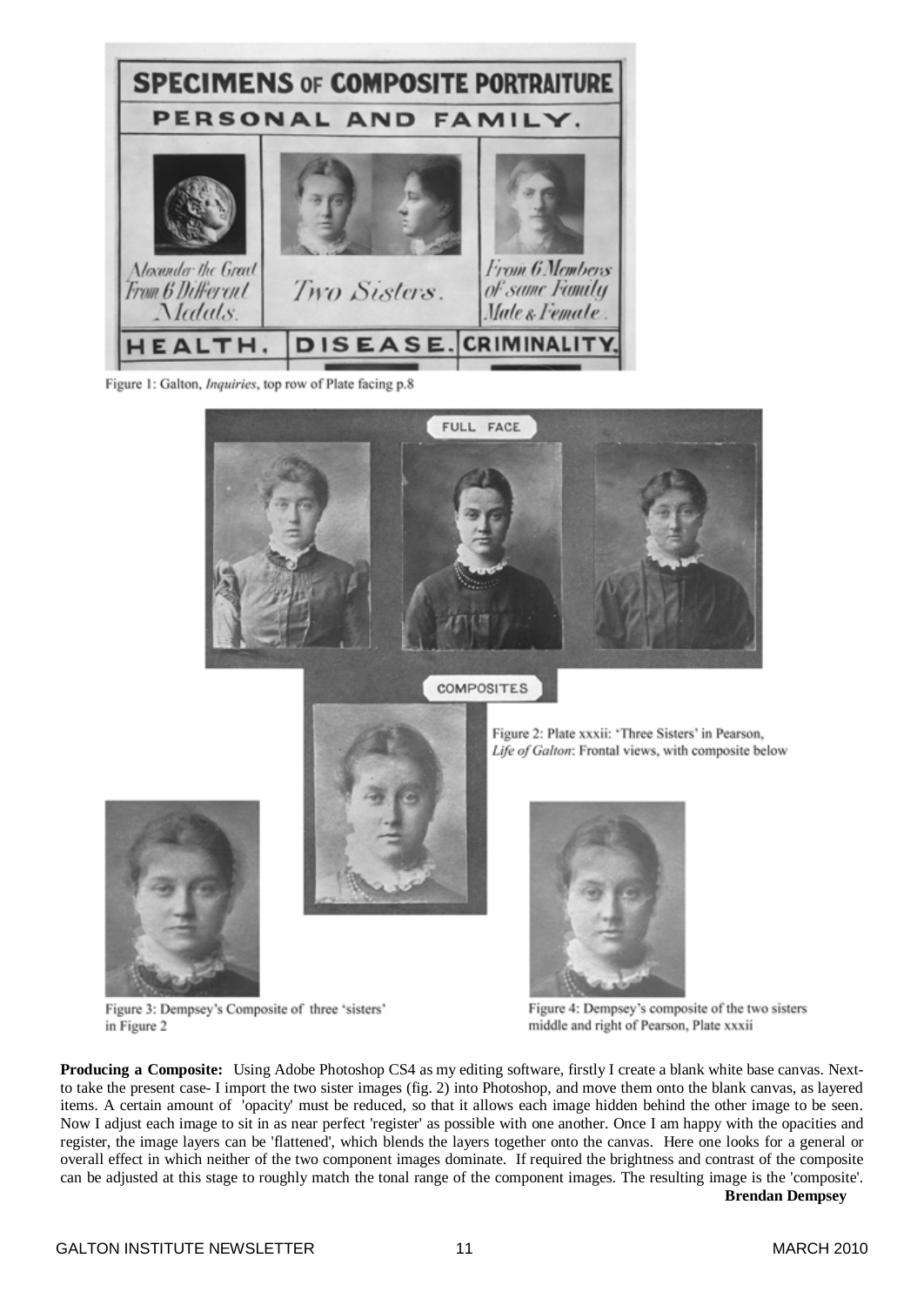

Figure 1: Galton, *Inquiries*, top row of Plate facing p.8





Figure 2: Plate xxxii: 'Three Sisters' in Pearson, Life of Galton: Frontal views, with composite below





Figure 3: Dempsey's Composite of three 'sisters' in Figure 2

Figure 4: Dempsey's composite of the two sisters middle and right of Pearson, Plate xxxii

**Producing a Composite:** Using Adobe Photoshop CS4 as my editing software, firstly I create a blank white base canvas. Nextto take the present case- I import the two sister images (fig. 2) into Photoshop, and move them onto the blank canvas, as layered items. A certain amount of 'opacity' must be reduced, so that it allows each image hidden behind the other image to be seen. Now I adjust each image to sit in as near perfect 'register' as possible with one another. Once I am happy with the opacities and register, the image layers can be 'flattened', which blends the layers together onto the canvas. Here one looks for a general or overall effect in which neither of the two component images dominate. If required the brightness and contrast of the composite can be adjusted at this stage to roughly match the tonal range of the component images. The resulting image is the 'composite'.

**Brendan Dempsey**